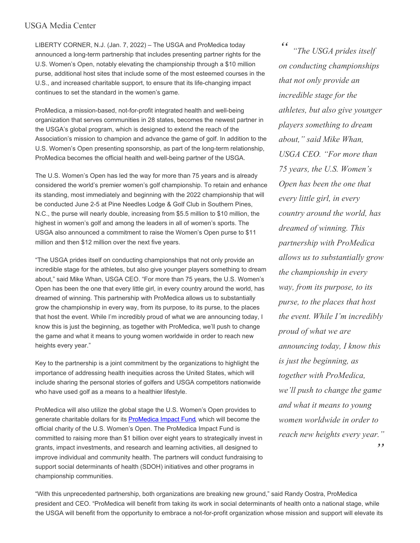## USGA Media Center

LIBERTY CORNER, N.J. (Jan. 7, 2022) – The USGA and ProMedica today announced a long-term partnership that includes presenting partner rights for the U.S. Women's Open, notably elevating the championship through a \$10 million purse, additional host sites that include some of the most esteemed courses in the U.S., and increased charitable support, to ensure that its life-changing impact continues to set the standard in the women's game.

ProMedica, a mission-based, not-for-profit integrated health and well-being organization that serves communities in 28 states, becomes the newest partner in the USGA's global program, which is designed to extend the reach of the Association's mission to champion and advance the game of golf. In addition to the U.S. Women's Open presenting sponsorship, as part of the long-term relationship, ProMedica becomes the official health and well-being partner of the USGA.

The U.S. Women's Open has led the way for more than 75 years and is already considered the world's premier women's golf championship. To retain and enhance its standing, most immediately and beginning with the 2022 championship that will be conducted June 2-5 at Pine Needles Lodge & Golf Club in Southern Pines, N.C., the purse will nearly double, increasing from \$5.5 million to \$10 million, the highest in women's golf and among the leaders in all of women's sports. The USGA also announced a commitment to raise the Women's Open purse to \$11 million and then \$12 million over the next five years.

"The USGA prides itself on conducting championships that not only provide an incredible stage for the athletes, but also give younger players something to dream about," said Mike Whan, USGA CEO. "For more than 75 years, the U.S. Women's Open has been the one that every little girl, in every country around the world, has dreamed of winning. This partnership with ProMedica allows us to substantially grow the championship in every way, from its purpose, to its purse, to the places that host the event. While I'm incredibly proud of what we are announcing today, I know this is just the beginning, as together with ProMedica, we'll push to change the game and what it means to young women worldwide in order to reach new heights every year."

Key to the partnership is a joint commitment by the organizations to highlight the importance of addressing health inequities across the United States, which will include sharing the personal stories of golfers and USGA competitors nationwide who have used golf as a means to a healthier lifestyle.

ProMedica will also utilize the global stage the U.S. Women's Open provides to generate charitable dollars for its **[ProMedica](https://www.promedica.org/impact-fund/) Impact Fund**, which will become the official charity of the U.S. Women's Open. The ProMedica Impact Fund is committed to raising more than \$1 billion over eight years to strategically invest in grants, impact investments, and research and learning activities, all designed to improve individual and community health. The partners will conduct fundraising to support social determinants of health (SDOH) initiatives and other programs in championship communities.

*" " "The USGA prides itself on conducting championships that not only provide an incredible stage for the athletes, but also give younger players something to dream about," said Mike Whan, USGA CEO. "For more than 75 years, the U.S. Women's Open has been the one that every little girl, in every country around the world, has dreamed of winning. This partnership with ProMedica allows us to substantially grow the championship in every way, from its purpose, to its purse, to the places that host the event. While I'm incredibly proud of what we are announcing today, I know this is just the beginning, as together with ProMedica, we'll push to change the game and what it means to young women worldwide in order to reach new heights every year."*

"With this unprecedented partnership, both organizations are breaking new ground," said Randy Oostra, ProMedica president and CEO. "ProMedica will benefit from taking its work in social determinants of health onto a national stage, while the USGA will benefit from the opportunity to embrace a not-for-profit organization whose mission and support will elevate its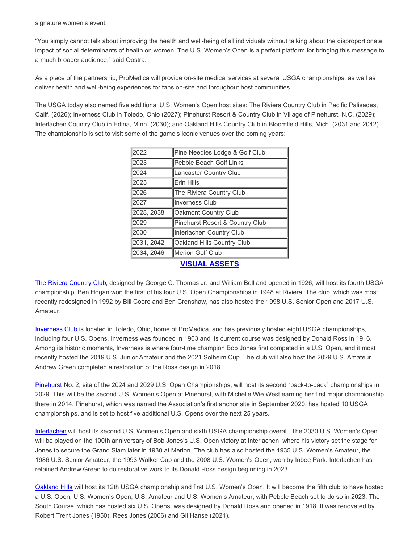signature women's event.

"You simply cannot talk about improving the health and well-being of all individuals without talking about the disproportionate impact of social determinants of health on women. The U.S. Women's Open is a perfect platform for bringing this message to a much broader audience," said Oostra.

As a piece of the partnership, ProMedica will provide on-site medical services at several USGA championships, as well as deliver health and well-being experiences for fans on-site and throughout host communities.

The USGA today also named five additional U.S. Women's Open host sites: The Riviera Country Club in Pacific Palisades, Calif. (2026); Inverness Club in Toledo, Ohio (2027); Pinehurst Resort & Country Club in Village of Pinehurst, N.C. (2029); Interlachen Country Club in Edina, Minn. (2030); and Oakland Hills Country Club in Bloomfield Hills, Mich. (2031 and 2042). The championship is set to visit some of the game's iconic venues over the coming years:

| 2022        | Pine Needles Lodge & Golf Club  |
|-------------|---------------------------------|
| 2023        | Pebble Beach Golf Links         |
| 2024        | Lancaster Country Club          |
| 2025        | Erin Hills                      |
| 2026        | The Riviera Country Club        |
| 2027        | <b>Inverness Club</b>           |
| 2028, 2038  | Oakmont Country Club            |
| 2029        | Pinehurst Resort & Country Club |
| 2030        | Interlachen Country Club        |
| 2031, 2042  | Oakland Hills Country Club      |
| l2034. 2046 | lMerion Golf Club               |
|             |                                 |

## **VISUAL [ASSETS](https://digitalarchives.usga.org/app/api/order/index.html#!/login/share/5f16ae895f8b4fb79401bf571c64aa1d/false/asset/e791ed350ff04f2c931b215e2b3cdec2/Jan.+7+Announcement+-+USWO)**

The Riviera [Country](https://mediacenter.usga.org/download/USGA+Championships+at+Riviera.pdf) Club, designed by George C. Thomas Jr. and William Bell and opened in 1926, will host its fourth USGA championship. Ben Hogan won the first of his four U.S. Open Championships in 1948 at Riviera. The club, which was most recently redesigned in 1992 by Bill Coore and Ben Crenshaw, has also hosted the 1998 U.S. Senior Open and 2017 U.S. Amateur.

[Inverness](https://mediacenter.usga.org/download/USGA+Championships+at+Inverness.pdf) Club is located in Toledo, Ohio, home of ProMedica, and has previously hosted eight USGA championships, including four U.S. Opens. Inverness was founded in 1903 and its current course was designed by Donald Ross in 1916. Among its historic moments, Inverness is where four-time champion Bob Jones first competed in a U.S. Open, and it most recently hosted the 2019 U.S. Junior Amateur and the 2021 Solheim Cup. The club will also host the 2029 U.S. Amateur. Andrew Green completed a restoration of the Ross design in 2018.

[Pinehurst](https://mediacenter.usga.org/download/USGA+Championships+at+Pinehurst.pdf) No. 2, site of the 2024 and 2029 U.S. Open Championships, will host its second "back-to-back" championships in 2029. This will be the second U.S. Women's Open at Pinehurst, with Michelle Wie West earning her first major championship there in 2014. Pinehurst, which was named the Association's first anchor site in September 2020, has hosted 10 USGA championships, and is set to host five additional U.S. Opens over the next 25 years.

[Interlachen](https://mediacenter.usga.org/download/USGA+Championships+at+Interlachen.pdf) will host its second U.S. Women's Open and sixth USGA championship overall. The 2030 U.S. Women's Open will be played on the 100th anniversary of Bob Jones's U.S. Open victory at Interlachen, where his victory set the stage for Jones to secure the Grand Slam later in 1930 at Merion. The club has also hosted the 1935 U.S. Women's Amateur, the 1986 U.S. Senior Amateur, the 1993 Walker Cup and the 2008 U.S. Women's Open, won by Inbee Park. Interlachen has retained Andrew Green to do restorative work to its Donald Ross design beginning in 2023.

[Oakland](https://mediacenter.usga.org/download/USGA+Championships+at+Oakland+Hills.pdf) Hills will host its 12th USGA championship and first U.S. Women's Open. It will become the fifth club to have hosted a U.S. Open, U.S. Women's Open, U.S. Amateur and U.S. Women's Amateur, with Pebble Beach set to do so in 2023. The South Course, which has hosted six U.S. Opens, was designed by Donald Ross and opened in 1918. It was renovated by Robert Trent Jones (1950), Rees Jones (2006) and Gil Hanse (2021).